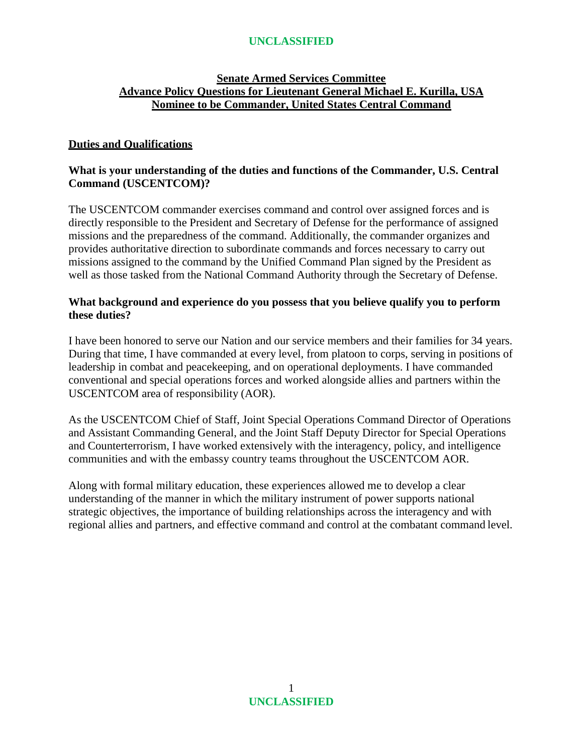# **Senate Armed Services Committee Advance Policy Questions for Lieutenant General Michael E. Kurilla, USA Nominee to be Commander, United States Central Command**

## **Duties and Qualifications**

### **What is your understanding of the duties and functions of the Commander, U.S. Central Command (USCENTCOM)?**

The USCENTCOM commander exercises command and control over assigned forces and is directly responsible to the President and Secretary of Defense for the performance of assigned missions and the preparedness of the command. Additionally, the commander organizes and provides authoritative direction to subordinate commands and forces necessary to carry out missions assigned to the command by the Unified Command Plan signed by the President as well as those tasked from the National Command Authority through the Secretary of Defense.

#### **What background and experience do you possess that you believe qualify you to perform these duties?**

I have been honored to serve our Nation and our service members and their families for 34 years. During that time, I have commanded at every level, from platoon to corps, serving in positions of leadership in combat and peacekeeping, and on operational deployments. I have commanded conventional and special operations forces and worked alongside allies and partners within the USCENTCOM area of responsibility (AOR).

As the USCENTCOM Chief of Staff, Joint Special Operations Command Director of Operations and Assistant Commanding General, and the Joint Staff Deputy Director for Special Operations and Counterterrorism, I have worked extensively with the interagency, policy, and intelligence communities and with the embassy country teams throughout the USCENTCOM AOR.

Along with formal military education, these experiences allowed me to develop a clear understanding of the manner in which the military instrument of power supports national strategic objectives, the importance of building relationships across the interagency and with regional allies and partners, and effective command and control at the combatant command level.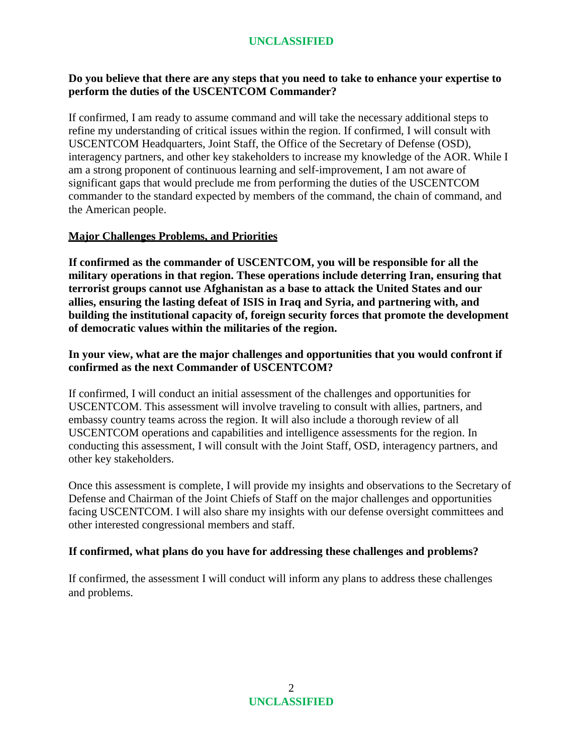## **Do you believe that there are any steps that you need to take to enhance your expertise to perform the duties of the USCENTCOM Commander?**

If confirmed, I am ready to assume command and will take the necessary additional steps to refine my understanding of critical issues within the region. If confirmed, I will consult with USCENTCOM Headquarters, Joint Staff, the Office of the Secretary of Defense (OSD), interagency partners, and other key stakeholders to increase my knowledge of the AOR. While I am a strong proponent of continuous learning and self-improvement, I am not aware of significant gaps that would preclude me from performing the duties of the USCENTCOM commander to the standard expected by members of the command, the chain of command, and the American people.

## **Major Challenges Problems, and Priorities**

**If confirmed as the commander of USCENTCOM, you will be responsible for all the military operations in that region. These operations include deterring Iran, ensuring that terrorist groups cannot use Afghanistan as a base to attack the United States and our allies, ensuring the lasting defeat of ISIS in Iraq and Syria, and partnering with, and building the institutional capacity of, foreign security forces that promote the development of democratic values within the militaries of the region.**

## **In your view, what are the major challenges and opportunities that you would confront if confirmed as the next Commander of USCENTCOM?**

If confirmed, I will conduct an initial assessment of the challenges and opportunities for USCENTCOM. This assessment will involve traveling to consult with allies, partners, and embassy country teams across the region. It will also include a thorough review of all USCENTCOM operations and capabilities and intelligence assessments for the region. In conducting this assessment, I will consult with the Joint Staff, OSD, interagency partners, and other key stakeholders.

Once this assessment is complete, I will provide my insights and observations to the Secretary of Defense and Chairman of the Joint Chiefs of Staff on the major challenges and opportunities facing USCENTCOM. I will also share my insights with our defense oversight committees and other interested congressional members and staff.

## **If confirmed, what plans do you have for addressing these challenges and problems?**

If confirmed, the assessment I will conduct will inform any plans to address these challenges and problems.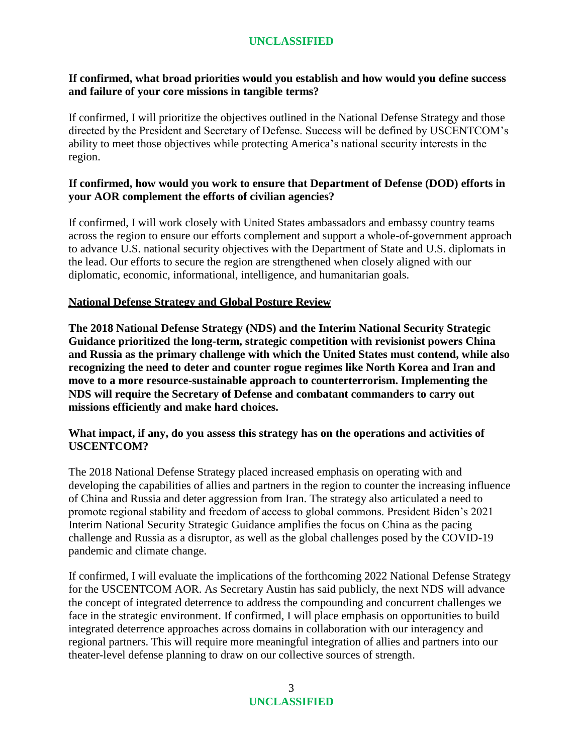## **If confirmed, what broad priorities would you establish and how would you define success and failure of your core missions in tangible terms?**

If confirmed, I will prioritize the objectives outlined in the National Defense Strategy and those directed by the President and Secretary of Defense. Success will be defined by USCENTCOM's ability to meet those objectives while protecting America's national security interests in the region.

## **If confirmed, how would you work to ensure that Department of Defense (DOD) efforts in your AOR complement the efforts of civilian agencies?**

If confirmed, I will work closely with United States ambassadors and embassy country teams across the region to ensure our efforts complement and support a whole-of-government approach to advance U.S. national security objectives with the Department of State and U.S. diplomats in the lead. Our efforts to secure the region are strengthened when closely aligned with our diplomatic, economic, informational, intelligence, and humanitarian goals.

## **National Defense Strategy and Global Posture Review**

**The 2018 National Defense Strategy (NDS) and the Interim National Security Strategic Guidance prioritized the long-term, strategic competition with revisionist powers China and Russia as the primary challenge with which the United States must contend, while also recognizing the need to deter and counter rogue regimes like North Korea and Iran and move to a more resource-sustainable approach to counterterrorism. Implementing the NDS will require the Secretary of Defense and combatant commanders to carry out missions efficiently and make hard choices.**

### **What impact, if any, do you assess this strategy has on the operations and activities of USCENTCOM?**

The 2018 National Defense Strategy placed increased emphasis on operating with and developing the capabilities of allies and partners in the region to counter the increasing influence of China and Russia and deter aggression from Iran. The strategy also articulated a need to promote regional stability and freedom of access to global commons. President Biden's 2021 Interim National Security Strategic Guidance amplifies the focus on China as the pacing challenge and Russia as a disruptor, as well as the global challenges posed by the COVID-19 pandemic and climate change.

If confirmed, I will evaluate the implications of the forthcoming 2022 National Defense Strategy for the USCENTCOM AOR. As Secretary Austin has said publicly, the next NDS will advance the concept of integrated deterrence to address the compounding and concurrent challenges we face in the strategic environment. If confirmed, I will place emphasis on opportunities to build integrated deterrence approaches across domains in collaboration with our interagency and regional partners. This will require more meaningful integration of allies and partners into our theater-level defense planning to draw on our collective sources of strength.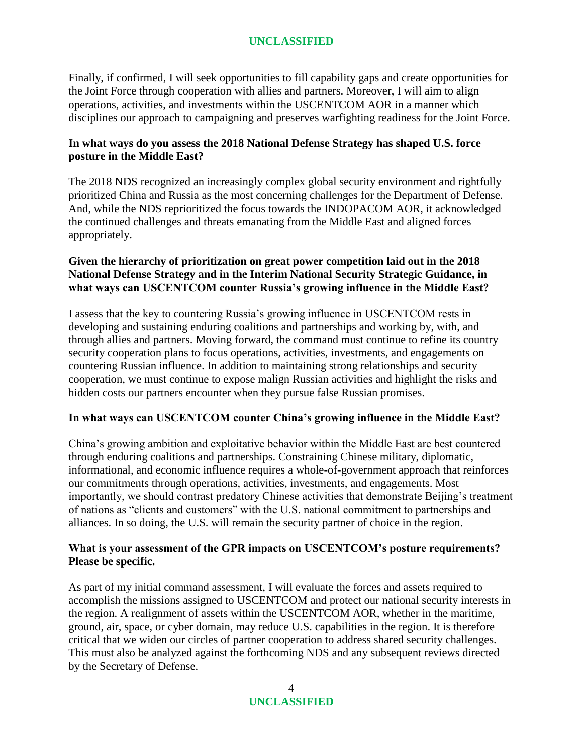Finally, if confirmed, I will seek opportunities to fill capability gaps and create opportunities for the Joint Force through cooperation with allies and partners. Moreover, I will aim to align operations, activities, and investments within the USCENTCOM AOR in a manner which disciplines our approach to campaigning and preserves warfighting readiness for the Joint Force.

### **In what ways do you assess the 2018 National Defense Strategy has shaped U.S. force posture in the Middle East?**

The 2018 NDS recognized an increasingly complex global security environment and rightfully prioritized China and Russia as the most concerning challenges for the Department of Defense. And, while the NDS reprioritized the focus towards the INDOPACOM AOR, it acknowledged the continued challenges and threats emanating from the Middle East and aligned forces appropriately.

## **Given the hierarchy of prioritization on great power competition laid out in the 2018 National Defense Strategy and in the Interim National Security Strategic Guidance, in what ways can USCENTCOM counter Russia's growing influence in the Middle East?**

I assess that the key to countering Russia's growing influence in USCENTCOM rests in developing and sustaining enduring coalitions and partnerships and working by, with, and through allies and partners. Moving forward, the command must continue to refine its country security cooperation plans to focus operations, activities, investments, and engagements on countering Russian influence. In addition to maintaining strong relationships and security cooperation, we must continue to expose malign Russian activities and highlight the risks and hidden costs our partners encounter when they pursue false Russian promises.

## **In what ways can USCENTCOM counter China's growing influence in the Middle East?**

China's growing ambition and exploitative behavior within the Middle East are best countered through enduring coalitions and partnerships. Constraining Chinese military, diplomatic, informational, and economic influence requires a whole-of-government approach that reinforces our commitments through operations, activities, investments, and engagements. Most importantly, we should contrast predatory Chinese activities that demonstrate Beijing's treatment of nations as "clients and customers" with the U.S. national commitment to partnerships and alliances. In so doing, the U.S. will remain the security partner of choice in the region.

## **What is your assessment of the GPR impacts on USCENTCOM's posture requirements? Please be specific.**

As part of my initial command assessment, I will evaluate the forces and assets required to accomplish the missions assigned to USCENTCOM and protect our national security interests in the region. A realignment of assets within the USCENTCOM AOR, whether in the maritime, ground, air, space, or cyber domain, may reduce U.S. capabilities in the region. It is therefore critical that we widen our circles of partner cooperation to address shared security challenges. This must also be analyzed against the forthcoming NDS and any subsequent reviews directed by the Secretary of Defense.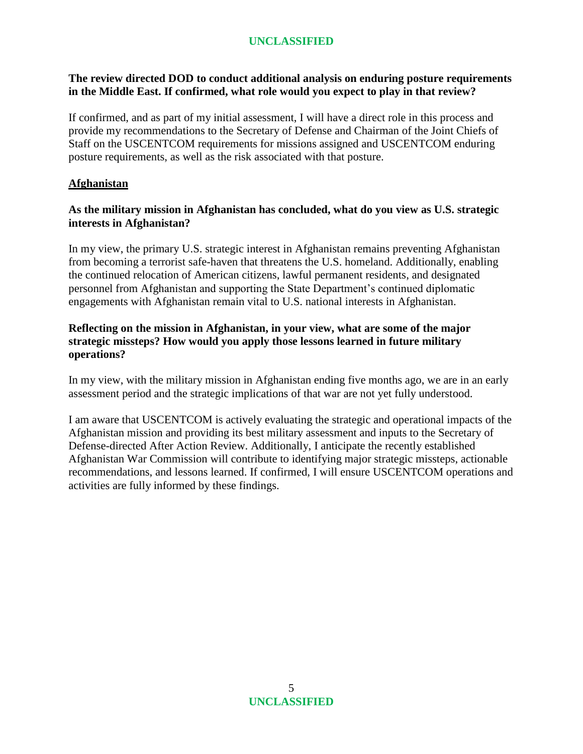## **The review directed DOD to conduct additional analysis on enduring posture requirements in the Middle East. If confirmed, what role would you expect to play in that review?**

If confirmed, and as part of my initial assessment, I will have a direct role in this process and provide my recommendations to the Secretary of Defense and Chairman of the Joint Chiefs of Staff on the USCENTCOM requirements for missions assigned and USCENTCOM enduring posture requirements, as well as the risk associated with that posture.

## **Afghanistan**

### **As the military mission in Afghanistan has concluded, what do you view as U.S. strategic interests in Afghanistan?**

In my view, the primary U.S. strategic interest in Afghanistan remains preventing Afghanistan from becoming a terrorist safe-haven that threatens the U.S. homeland. Additionally, enabling the continued relocation of American citizens, lawful permanent residents, and designated personnel from Afghanistan and supporting the State Department's continued diplomatic engagements with Afghanistan remain vital to U.S. national interests in Afghanistan.

### **Reflecting on the mission in Afghanistan, in your view, what are some of the major strategic missteps? How would you apply those lessons learned in future military operations?**

In my view, with the military mission in Afghanistan ending five months ago, we are in an early assessment period and the strategic implications of that war are not yet fully understood.

I am aware that USCENTCOM is actively evaluating the strategic and operational impacts of the Afghanistan mission and providing its best military assessment and inputs to the Secretary of Defense-directed After Action Review. Additionally, I anticipate the recently established Afghanistan War Commission will contribute to identifying major strategic missteps, actionable recommendations, and lessons learned. If confirmed, I will ensure USCENTCOM operations and activities are fully informed by these findings.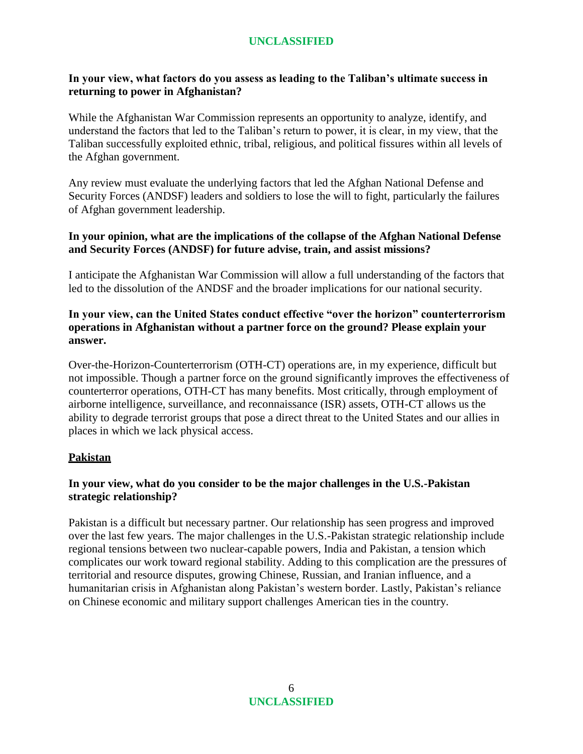## **In your view, what factors do you assess as leading to the Taliban's ultimate success in returning to power in Afghanistan?**

While the Afghanistan War Commission represents an opportunity to analyze, identify, and understand the factors that led to the Taliban's return to power, it is clear, in my view, that the Taliban successfully exploited ethnic, tribal, religious, and political fissures within all levels of the Afghan government.

Any review must evaluate the underlying factors that led the Afghan National Defense and Security Forces (ANDSF) leaders and soldiers to lose the will to fight, particularly the failures of Afghan government leadership.

## **In your opinion, what are the implications of the collapse of the Afghan National Defense and Security Forces (ANDSF) for future advise, train, and assist missions?**

I anticipate the Afghanistan War Commission will allow a full understanding of the factors that led to the dissolution of the ANDSF and the broader implications for our national security.

## **In your view, can the United States conduct effective "over the horizon" counterterrorism operations in Afghanistan without a partner force on the ground? Please explain your answer.**

Over-the-Horizon-Counterterrorism (OTH-CT) operations are, in my experience, difficult but not impossible. Though a partner force on the ground significantly improves the effectiveness of counterterror operations, OTH-CT has many benefits. Most critically, through employment of airborne intelligence, surveillance, and reconnaissance (ISR) assets, OTH-CT allows us the ability to degrade terrorist groups that pose a direct threat to the United States and our allies in places in which we lack physical access.

## **Pakistan**

# **In your view, what do you consider to be the major challenges in the U.S.-Pakistan strategic relationship?**

Pakistan is a difficult but necessary partner. Our relationship has seen progress and improved over the last few years. The major challenges in the U.S.-Pakistan strategic relationship include regional tensions between two nuclear-capable powers, India and Pakistan, a tension which complicates our work toward regional stability. Adding to this complication are the pressures of territorial and resource disputes, growing Chinese, Russian, and Iranian influence, and a humanitarian crisis in Afghanistan along Pakistan's western border. Lastly, Pakistan's reliance on Chinese economic and military support challenges American ties in the country.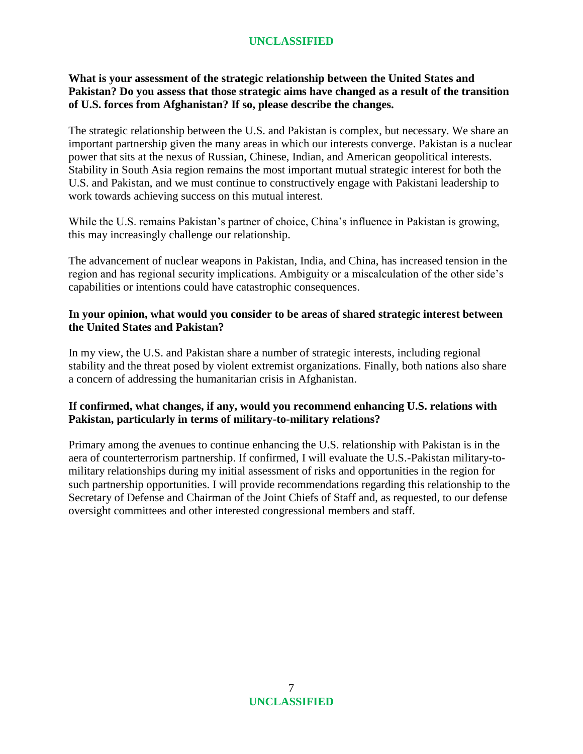### **What is your assessment of the strategic relationship between the United States and Pakistan? Do you assess that those strategic aims have changed as a result of the transition of U.S. forces from Afghanistan? If so, please describe the changes.**

The strategic relationship between the U.S. and Pakistan is complex, but necessary. We share an important partnership given the many areas in which our interests converge. Pakistan is a nuclear power that sits at the nexus of Russian, Chinese, Indian, and American geopolitical interests. Stability in South Asia region remains the most important mutual strategic interest for both the U.S. and Pakistan, and we must continue to constructively engage with Pakistani leadership to work towards achieving success on this mutual interest.

While the U.S. remains Pakistan's partner of choice, China's influence in Pakistan is growing, this may increasingly challenge our relationship.

The advancement of nuclear weapons in Pakistan, India, and China, has increased tension in the region and has regional security implications. Ambiguity or a miscalculation of the other side's capabilities or intentions could have catastrophic consequences.

#### **In your opinion, what would you consider to be areas of shared strategic interest between the United States and Pakistan?**

In my view, the U.S. and Pakistan share a number of strategic interests, including regional stability and the threat posed by violent extremist organizations. Finally, both nations also share a concern of addressing the humanitarian crisis in Afghanistan.

## **If confirmed, what changes, if any, would you recommend enhancing U.S. relations with Pakistan, particularly in terms of military-to-military relations?**

Primary among the avenues to continue enhancing the U.S. relationship with Pakistan is in the aera of counterterrorism partnership. If confirmed, I will evaluate the U.S.-Pakistan military-tomilitary relationships during my initial assessment of risks and opportunities in the region for such partnership opportunities. I will provide recommendations regarding this relationship to the Secretary of Defense and Chairman of the Joint Chiefs of Staff and, as requested, to our defense oversight committees and other interested congressional members and staff.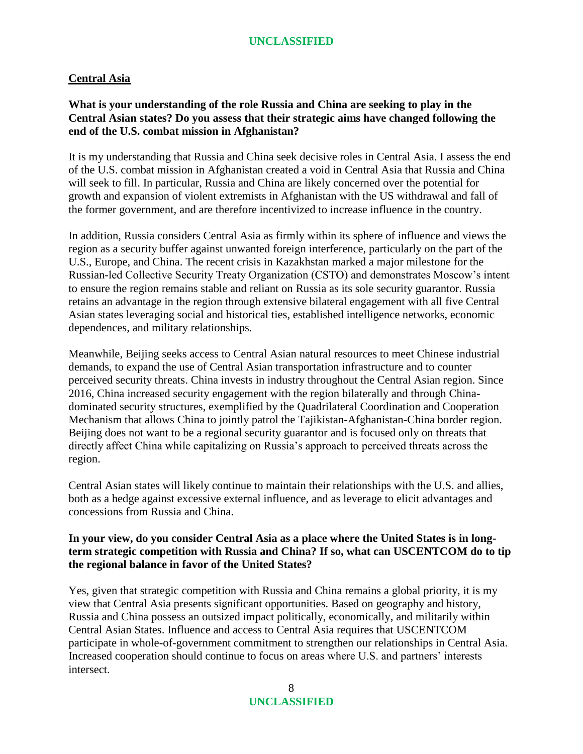#### **Central Asia**

### **What is your understanding of the role Russia and China are seeking to play in the Central Asian states? Do you assess that their strategic aims have changed following the end of the U.S. combat mission in Afghanistan?**

It is my understanding that Russia and China seek decisive roles in Central Asia. I assess the end of the U.S. combat mission in Afghanistan created a void in Central Asia that Russia and China will seek to fill. In particular, Russia and China are likely concerned over the potential for growth and expansion of violent extremists in Afghanistan with the US withdrawal and fall of the former government, and are therefore incentivized to increase influence in the country.

In addition, Russia considers Central Asia as firmly within its sphere of influence and views the region as a security buffer against unwanted foreign interference, particularly on the part of the U.S., Europe, and China. The recent crisis in Kazakhstan marked a major milestone for the Russian-led Collective Security Treaty Organization (CSTO) and demonstrates Moscow's intent to ensure the region remains stable and reliant on Russia as its sole security guarantor. Russia retains an advantage in the region through extensive bilateral engagement with all five Central Asian states leveraging social and historical ties, established intelligence networks, economic dependences, and military relationships.

Meanwhile, Beijing seeks access to Central Asian natural resources to meet Chinese industrial demands, to expand the use of Central Asian transportation infrastructure and to counter perceived security threats. China invests in industry throughout the Central Asian region. Since 2016, China increased security engagement with the region bilaterally and through Chinadominated security structures, exemplified by the Quadrilateral Coordination and Cooperation Mechanism that allows China to jointly patrol the Tajikistan-Afghanistan-China border region. Beijing does not want to be a regional security guarantor and is focused only on threats that directly affect China while capitalizing on Russia's approach to perceived threats across the region.

Central Asian states will likely continue to maintain their relationships with the U.S. and allies, both as a hedge against excessive external influence, and as leverage to elicit advantages and concessions from Russia and China.

### **In your view, do you consider Central Asia as a place where the United States is in longterm strategic competition with Russia and China? If so, what can USCENTCOM do to tip the regional balance in favor of the United States?**

Yes, given that strategic competition with Russia and China remains a global priority, it is my view that Central Asia presents significant opportunities. Based on geography and history, Russia and China possess an outsized impact politically, economically, and militarily within Central Asian States. Influence and access to Central Asia requires that USCENTCOM participate in whole-of-government commitment to strengthen our relationships in Central Asia. Increased cooperation should continue to focus on areas where U.S. and partners' interests intersect.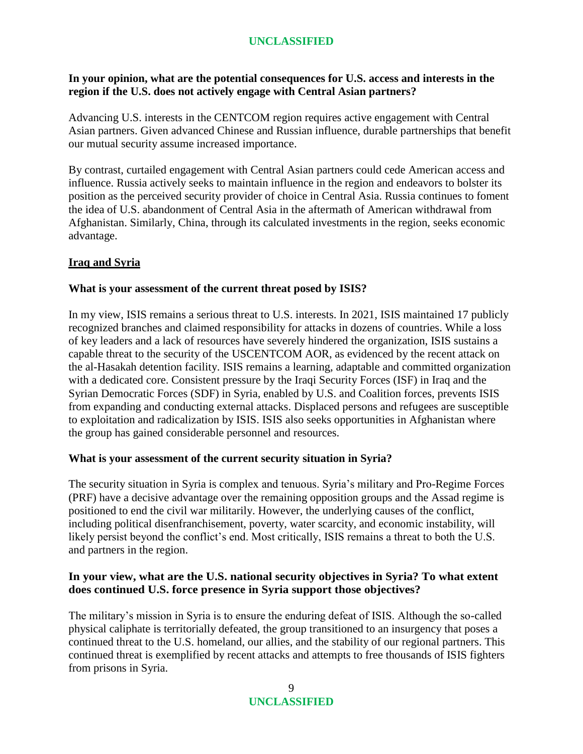## **In your opinion, what are the potential consequences for U.S. access and interests in the region if the U.S. does not actively engage with Central Asian partners?**

Advancing U.S. interests in the CENTCOM region requires active engagement with Central Asian partners. Given advanced Chinese and Russian influence, durable partnerships that benefit our mutual security assume increased importance.

By contrast, curtailed engagement with Central Asian partners could cede American access and influence. Russia actively seeks to maintain influence in the region and endeavors to bolster its position as the perceived security provider of choice in Central Asia. Russia continues to foment the idea of U.S. abandonment of Central Asia in the aftermath of American withdrawal from Afghanistan. Similarly, China, through its calculated investments in the region, seeks economic advantage.

## **Iraq and Syria**

### **What is your assessment of the current threat posed by ISIS?**

In my view, ISIS remains a serious threat to U.S. interests. In 2021, ISIS maintained 17 publicly recognized branches and claimed responsibility for attacks in dozens of countries. While a loss of key leaders and a lack of resources have severely hindered the organization, ISIS sustains a capable threat to the security of the USCENTCOM AOR, as evidenced by the recent attack on the al-Hasakah detention facility. ISIS remains a learning, adaptable and committed organization with a dedicated core. Consistent pressure by the Iraqi Security Forces (ISF) in Iraq and the Syrian Democratic Forces (SDF) in Syria, enabled by U.S. and Coalition forces, prevents ISIS from expanding and conducting external attacks. Displaced persons and refugees are susceptible to exploitation and radicalization by ISIS. ISIS also seeks opportunities in Afghanistan where the group has gained considerable personnel and resources.

## **What is your assessment of the current security situation in Syria?**

The security situation in Syria is complex and tenuous. Syria's military and Pro-Regime Forces (PRF) have a decisive advantage over the remaining opposition groups and the Assad regime is positioned to end the civil war militarily. However, the underlying causes of the conflict, including political disenfranchisement, poverty, water scarcity, and economic instability, will likely persist beyond the conflict's end. Most critically, ISIS remains a threat to both the U.S. and partners in the region.

## **In your view, what are the U.S. national security objectives in Syria? To what extent does continued U.S. force presence in Syria support those objectives?**

The military's mission in Syria is to ensure the enduring defeat of ISIS. Although the so-called physical caliphate is territorially defeated, the group transitioned to an insurgency that poses a continued threat to the U.S. homeland, our allies, and the stability of our regional partners. This continued threat is exemplified by recent attacks and attempts to free thousands of ISIS fighters from prisons in Syria.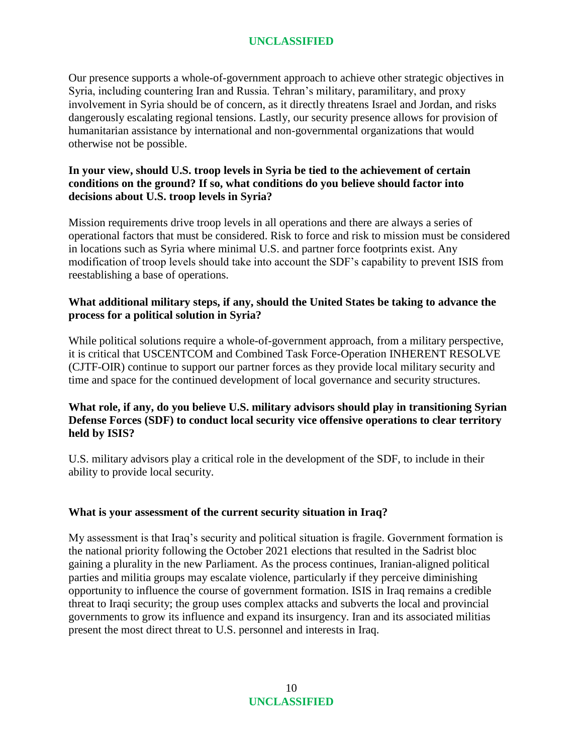Our presence supports a whole-of-government approach to achieve other strategic objectives in Syria, including countering Iran and Russia. Tehran's military, paramilitary, and proxy involvement in Syria should be of concern, as it directly threatens Israel and Jordan, and risks dangerously escalating regional tensions. Lastly, our security presence allows for provision of humanitarian assistance by international and non-governmental organizations that would otherwise not be possible.

## **In your view, should U.S. troop levels in Syria be tied to the achievement of certain conditions on the ground? If so, what conditions do you believe should factor into decisions about U.S. troop levels in Syria?**

Mission requirements drive troop levels in all operations and there are always a series of operational factors that must be considered. Risk to force and risk to mission must be considered in locations such as Syria where minimal U.S. and partner force footprints exist. Any modification of troop levels should take into account the SDF's capability to prevent ISIS from reestablishing a base of operations.

## **What additional military steps, if any, should the United States be taking to advance the process for a political solution in Syria?**

While political solutions require a whole-of-government approach, from a military perspective, it is critical that USCENTCOM and Combined Task Force-Operation INHERENT RESOLVE (CJTF-OIR) continue to support our partner forces as they provide local military security and time and space for the continued development of local governance and security structures.

## **What role, if any, do you believe U.S. military advisors should play in transitioning Syrian Defense Forces (SDF) to conduct local security vice offensive operations to clear territory held by ISIS?**

U.S. military advisors play a critical role in the development of the SDF, to include in their ability to provide local security.

## **What is your assessment of the current security situation in Iraq?**

My assessment is that Iraq's security and political situation is fragile. Government formation is the national priority following the October 2021 elections that resulted in the Sadrist bloc gaining a plurality in the new Parliament. As the process continues, Iranian-aligned political parties and militia groups may escalate violence, particularly if they perceive diminishing opportunity to influence the course of government formation. ISIS in Iraq remains a credible threat to Iraqi security; the group uses complex attacks and subverts the local and provincial governments to grow its influence and expand its insurgency. Iran and its associated militias present the most direct threat to U.S. personnel and interests in Iraq.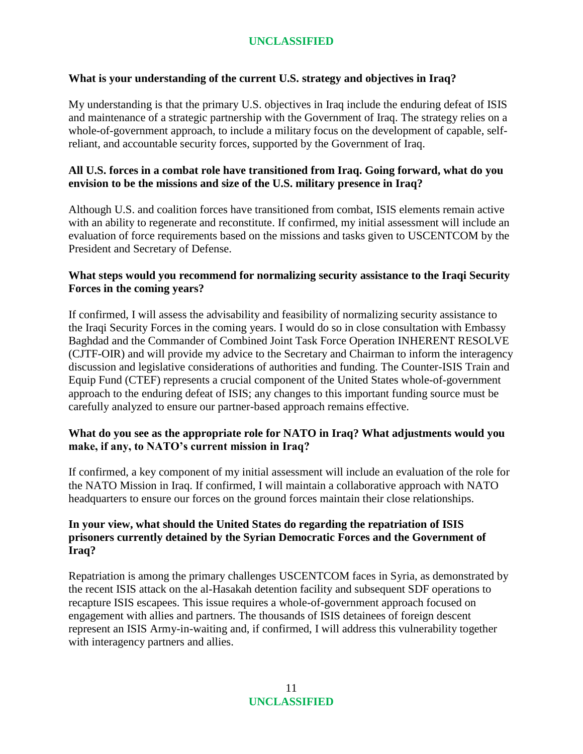## **What is your understanding of the current U.S. strategy and objectives in Iraq?**

My understanding is that the primary U.S. objectives in Iraq include the enduring defeat of ISIS and maintenance of a strategic partnership with the Government of Iraq. The strategy relies on a whole-of-government approach, to include a military focus on the development of capable, selfreliant, and accountable security forces, supported by the Government of Iraq.

## **All U.S. forces in a combat role have transitioned from Iraq. Going forward, what do you envision to be the missions and size of the U.S. military presence in Iraq?**

Although U.S. and coalition forces have transitioned from combat, ISIS elements remain active with an ability to regenerate and reconstitute. If confirmed, my initial assessment will include an evaluation of force requirements based on the missions and tasks given to USCENTCOM by the President and Secretary of Defense.

### **What steps would you recommend for normalizing security assistance to the Iraqi Security Forces in the coming years?**

If confirmed, I will assess the advisability and feasibility of normalizing security assistance to the Iraqi Security Forces in the coming years. I would do so in close consultation with Embassy Baghdad and the Commander of Combined Joint Task Force Operation INHERENT RESOLVE (CJTF-OIR) and will provide my advice to the Secretary and Chairman to inform the interagency discussion and legislative considerations of authorities and funding. The Counter-ISIS Train and Equip Fund (CTEF) represents a crucial component of the United States whole-of-government approach to the enduring defeat of ISIS; any changes to this important funding source must be carefully analyzed to ensure our partner-based approach remains effective.

### **What do you see as the appropriate role for NATO in Iraq? What adjustments would you make, if any, to NATO's current mission in Iraq?**

If confirmed, a key component of my initial assessment will include an evaluation of the role for the NATO Mission in Iraq. If confirmed, I will maintain a collaborative approach with NATO headquarters to ensure our forces on the ground forces maintain their close relationships.

### **In your view, what should the United States do regarding the repatriation of ISIS prisoners currently detained by the Syrian Democratic Forces and the Government of Iraq?**

Repatriation is among the primary challenges USCENTCOM faces in Syria, as demonstrated by the recent ISIS attack on the al-Hasakah detention facility and subsequent SDF operations to recapture ISIS escapees. This issue requires a whole-of-government approach focused on engagement with allies and partners. The thousands of ISIS detainees of foreign descent represent an ISIS Army-in-waiting and, if confirmed, I will address this vulnerability together with interagency partners and allies.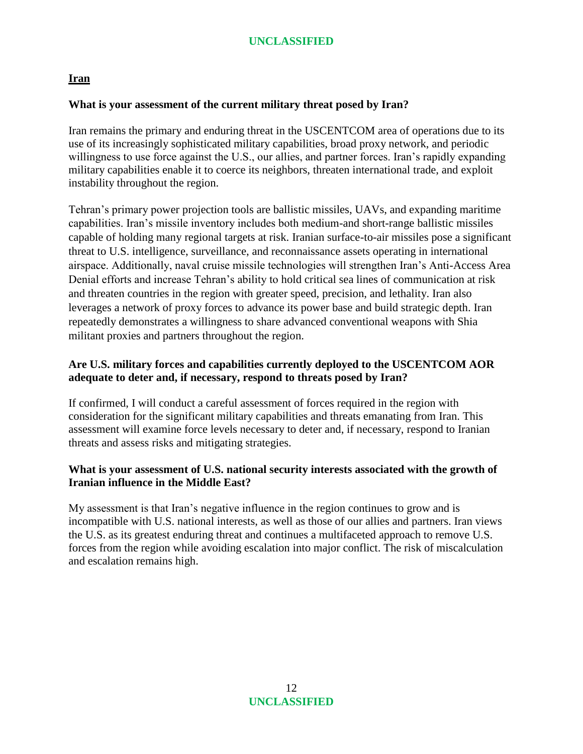### **Iran**

#### **What is your assessment of the current military threat posed by Iran?**

Iran remains the primary and enduring threat in the USCENTCOM area of operations due to its use of its increasingly sophisticated military capabilities, broad proxy network, and periodic willingness to use force against the U.S., our allies, and partner forces. Iran's rapidly expanding military capabilities enable it to coerce its neighbors, threaten international trade, and exploit instability throughout the region.

Tehran's primary power projection tools are ballistic missiles, UAVs, and expanding maritime capabilities. Iran's missile inventory includes both medium-and short-range ballistic missiles capable of holding many regional targets at risk. Iranian surface-to-air missiles pose a significant threat to U.S. intelligence, surveillance, and reconnaissance assets operating in international airspace. Additionally, naval cruise missile technologies will strengthen Iran's Anti-Access Area Denial efforts and increase Tehran's ability to hold critical sea lines of communication at risk and threaten countries in the region with greater speed, precision, and lethality. Iran also leverages a network of proxy forces to advance its power base and build strategic depth. Iran repeatedly demonstrates a willingness to share advanced conventional weapons with Shia militant proxies and partners throughout the region.

# **Are U.S. military forces and capabilities currently deployed to the USCENTCOM AOR adequate to deter and, if necessary, respond to threats posed by Iran?**

If confirmed, I will conduct a careful assessment of forces required in the region with consideration for the significant military capabilities and threats emanating from Iran. This assessment will examine force levels necessary to deter and, if necessary, respond to Iranian threats and assess risks and mitigating strategies.

### **What is your assessment of U.S. national security interests associated with the growth of Iranian influence in the Middle East?**

My assessment is that Iran's negative influence in the region continues to grow and is incompatible with U.S. national interests, as well as those of our allies and partners. Iran views the U.S. as its greatest enduring threat and continues a multifaceted approach to remove U.S. forces from the region while avoiding escalation into major conflict. The risk of miscalculation and escalation remains high.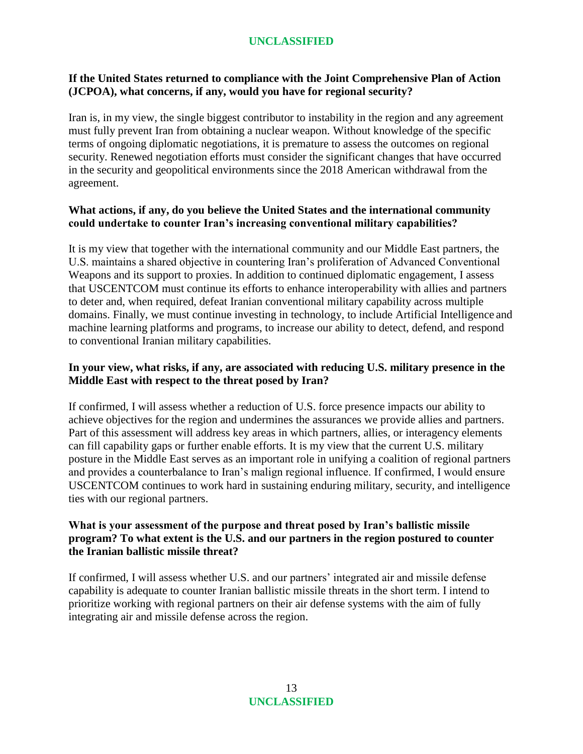# **If the United States returned to compliance with the Joint Comprehensive Plan of Action (JCPOA), what concerns, if any, would you have for regional security?**

Iran is, in my view, the single biggest contributor to instability in the region and any agreement must fully prevent Iran from obtaining a nuclear weapon. Without knowledge of the specific terms of ongoing diplomatic negotiations, it is premature to assess the outcomes on regional security. Renewed negotiation efforts must consider the significant changes that have occurred in the security and geopolitical environments since the 2018 American withdrawal from the agreement.

## **What actions, if any, do you believe the United States and the international community could undertake to counter Iran's increasing conventional military capabilities?**

It is my view that together with the international community and our Middle East partners, the U.S. maintains a shared objective in countering Iran's proliferation of Advanced Conventional Weapons and its support to proxies. In addition to continued diplomatic engagement, I assess that USCENTCOM must continue its efforts to enhance interoperability with allies and partners to deter and, when required, defeat Iranian conventional military capability across multiple domains. Finally, we must continue investing in technology, to include Artificial Intelligence and machine learning platforms and programs, to increase our ability to detect, defend, and respond to conventional Iranian military capabilities.

### **In your view, what risks, if any, are associated with reducing U.S. military presence in the Middle East with respect to the threat posed by Iran?**

If confirmed, I will assess whether a reduction of U.S. force presence impacts our ability to achieve objectives for the region and undermines the assurances we provide allies and partners. Part of this assessment will address key areas in which partners, allies, or interagency elements can fill capability gaps or further enable efforts. It is my view that the current U.S. military posture in the Middle East serves as an important role in unifying a coalition of regional partners and provides a counterbalance to Iran's malign regional influence. If confirmed, I would ensure USCENTCOM continues to work hard in sustaining enduring military, security, and intelligence ties with our regional partners.

## **What is your assessment of the purpose and threat posed by Iran's ballistic missile program? To what extent is the U.S. and our partners in the region postured to counter the Iranian ballistic missile threat?**

If confirmed, I will assess whether U.S. and our partners' integrated air and missile defense capability is adequate to counter Iranian ballistic missile threats in the short term. I intend to prioritize working with regional partners on their air defense systems with the aim of fully integrating air and missile defense across the region.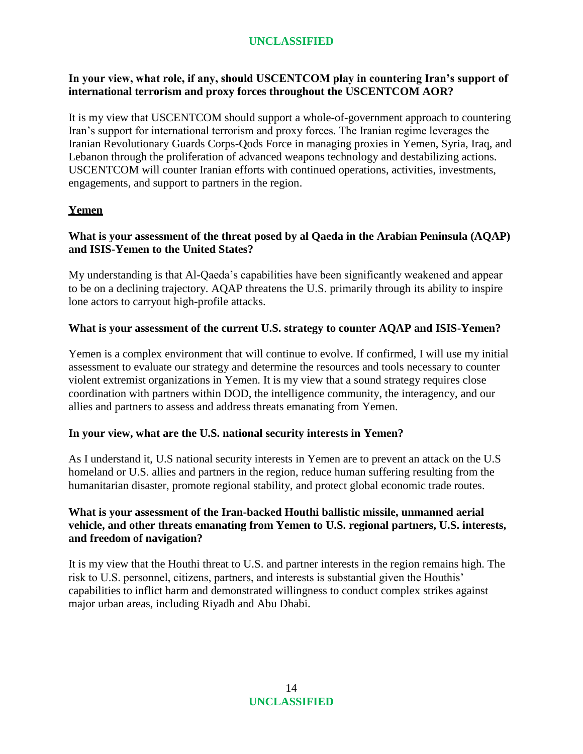# **In your view, what role, if any, should USCENTCOM play in countering Iran's support of international terrorism and proxy forces throughout the USCENTCOM AOR?**

It is my view that USCENTCOM should support a whole-of-government approach to countering Iran's support for international terrorism and proxy forces. The Iranian regime leverages the Iranian Revolutionary Guards Corps-Qods Force in managing proxies in Yemen, Syria, Iraq, and Lebanon through the proliferation of advanced weapons technology and destabilizing actions. USCENTCOM will counter Iranian efforts with continued operations, activities, investments, engagements, and support to partners in the region.

## **Yemen**

## **What is your assessment of the threat posed by al Qaeda in the Arabian Peninsula (AQAP) and ISIS-Yemen to the United States?**

My understanding is that Al-Qaeda's capabilities have been significantly weakened and appear to be on a declining trajectory. AQAP threatens the U.S. primarily through its ability to inspire lone actors to carryout high-profile attacks.

## **What is your assessment of the current U.S. strategy to counter AQAP and ISIS-Yemen?**

Yemen is a complex environment that will continue to evolve. If confirmed, I will use my initial assessment to evaluate our strategy and determine the resources and tools necessary to counter violent extremist organizations in Yemen. It is my view that a sound strategy requires close coordination with partners within DOD, the intelligence community, the interagency, and our allies and partners to assess and address threats emanating from Yemen.

## **In your view, what are the U.S. national security interests in Yemen?**

As I understand it, U.S national security interests in Yemen are to prevent an attack on the U.S homeland or U.S. allies and partners in the region, reduce human suffering resulting from the humanitarian disaster, promote regional stability, and protect global economic trade routes.

## **What is your assessment of the Iran-backed Houthi ballistic missile, unmanned aerial vehicle, and other threats emanating from Yemen to U.S. regional partners, U.S. interests, and freedom of navigation?**

It is my view that the Houthi threat to U.S. and partner interests in the region remains high. The risk to U.S. personnel, citizens, partners, and interests is substantial given the Houthis' capabilities to inflict harm and demonstrated willingness to conduct complex strikes against major urban areas, including Riyadh and Abu Dhabi.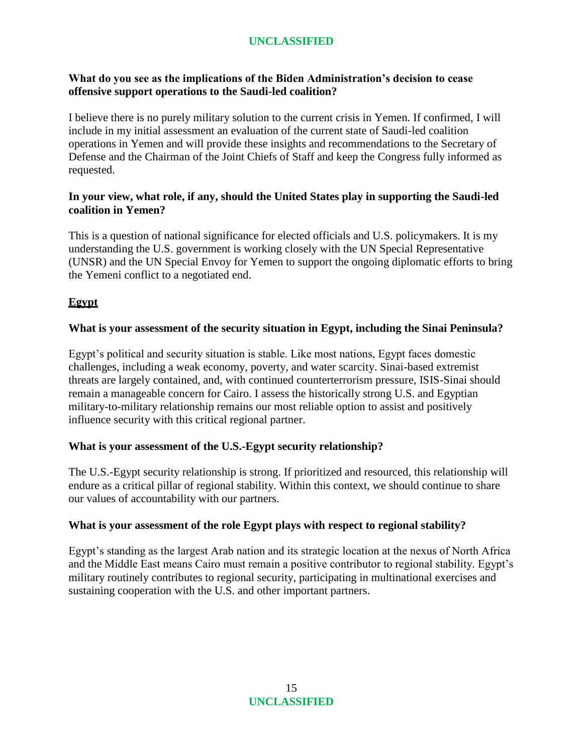## **What do you see as the implications of the Biden Administration's decision to cease offensive support operations to the Saudi-led coalition?**

I believe there is no purely military solution to the current crisis in Yemen. If confirmed, I will include in my initial assessment an evaluation of the current state of Saudi-led coalition operations in Yemen and will provide these insights and recommendations to the Secretary of Defense and the Chairman of the Joint Chiefs of Staff and keep the Congress fully informed as requested.

## **In your view, what role, if any, should the United States play in supporting the Saudi-led coalition in Yemen?**

This is a question of national significance for elected officials and U.S. policymakers. It is my understanding the U.S. government is working closely with the UN Special Representative (UNSR) and the UN Special Envoy for Yemen to support the ongoing diplomatic efforts to bring the Yemeni conflict to a negotiated end.

# **Egypt**

### **What is your assessment of the security situation in Egypt, including the Sinai Peninsula?**

Egypt's political and security situation is stable. Like most nations, Egypt faces domestic challenges, including a weak economy, poverty, and water scarcity. Sinai-based extremist threats are largely contained, and, with continued counterterrorism pressure, ISIS-Sinai should remain a manageable concern for Cairo. I assess the historically strong U.S. and Egyptian military-to-military relationship remains our most reliable option to assist and positively influence security with this critical regional partner.

## **What is your assessment of the U.S.-Egypt security relationship?**

The U.S.-Egypt security relationship is strong. If prioritized and resourced, this relationship will endure as a critical pillar of regional stability. Within this context, we should continue to share our values of accountability with our partners.

#### **What is your assessment of the role Egypt plays with respect to regional stability?**

Egypt's standing as the largest Arab nation and its strategic location at the nexus of North Africa and the Middle East means Cairo must remain a positive contributor to regional stability. Egypt's military routinely contributes to regional security, participating in multinational exercises and sustaining cooperation with the U.S. and other important partners.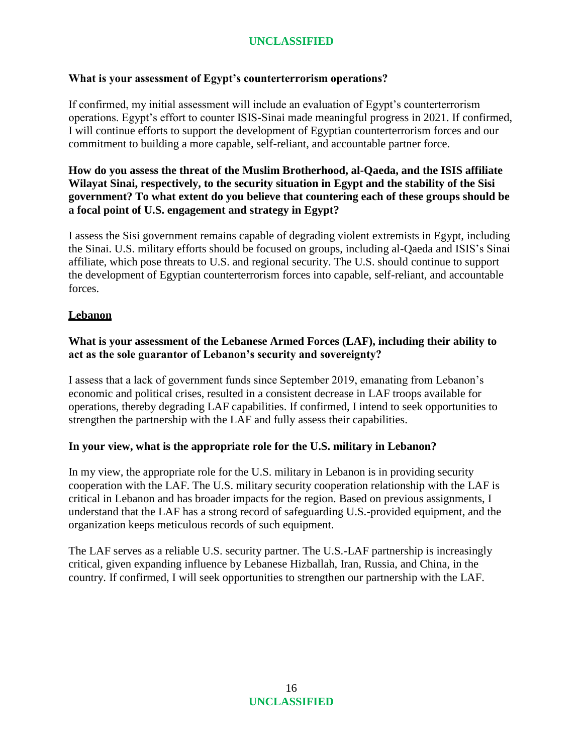# **What is your assessment of Egypt's counterterrorism operations?**

If confirmed, my initial assessment will include an evaluation of Egypt's counterterrorism operations. Egypt's effort to counter ISIS-Sinai made meaningful progress in 2021. If confirmed, I will continue efforts to support the development of Egyptian counterterrorism forces and our commitment to building a more capable, self-reliant, and accountable partner force.

## **How do you assess the threat of the Muslim Brotherhood, al-Qaeda, and the ISIS affiliate Wilayat Sinai, respectively, to the security situation in Egypt and the stability of the Sisi government? To what extent do you believe that countering each of these groups should be a focal point of U.S. engagement and strategy in Egypt?**

I assess the Sisi government remains capable of degrading violent extremists in Egypt, including the Sinai. U.S. military efforts should be focused on groups, including al-Qaeda and ISIS's Sinai affiliate, which pose threats to U.S. and regional security. The U.S. should continue to support the development of Egyptian counterterrorism forces into capable, self-reliant, and accountable forces.

## **Lebanon**

## **What is your assessment of the Lebanese Armed Forces (LAF), including their ability to act as the sole guarantor of Lebanon's security and sovereignty?**

I assess that a lack of government funds since September 2019, emanating from Lebanon's economic and political crises, resulted in a consistent decrease in LAF troops available for operations, thereby degrading LAF capabilities. If confirmed, I intend to seek opportunities to strengthen the partnership with the LAF and fully assess their capabilities.

## **In your view, what is the appropriate role for the U.S. military in Lebanon?**

In my view, the appropriate role for the U.S. military in Lebanon is in providing security cooperation with the LAF. The U.S. military security cooperation relationship with the LAF is critical in Lebanon and has broader impacts for the region. Based on previous assignments, I understand that the LAF has a strong record of safeguarding U.S.-provided equipment, and the organization keeps meticulous records of such equipment.

The LAF serves as a reliable U.S. security partner. The U.S.-LAF partnership is increasingly critical, given expanding influence by Lebanese Hizballah, Iran, Russia, and China, in the country. If confirmed, I will seek opportunities to strengthen our partnership with the LAF.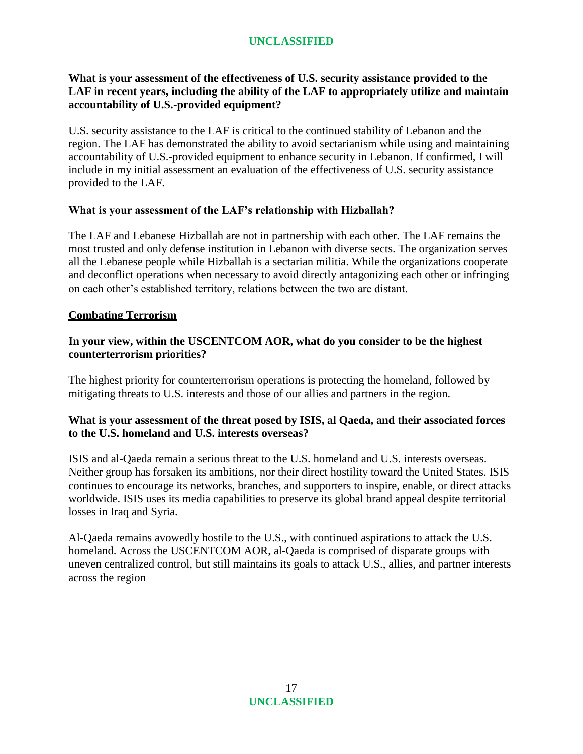## **What is your assessment of the effectiveness of U.S. security assistance provided to the LAF in recent years, including the ability of the LAF to appropriately utilize and maintain accountability of U.S.-provided equipment?**

U.S. security assistance to the LAF is critical to the continued stability of Lebanon and the region. The LAF has demonstrated the ability to avoid sectarianism while using and maintaining accountability of U.S.-provided equipment to enhance security in Lebanon. If confirmed, I will include in my initial assessment an evaluation of the effectiveness of U.S. security assistance provided to the LAF.

## **What is your assessment of the LAF's relationship with Hizballah?**

The LAF and Lebanese Hizballah are not in partnership with each other. The LAF remains the most trusted and only defense institution in Lebanon with diverse sects. The organization serves all the Lebanese people while Hizballah is a sectarian militia. While the organizations cooperate and deconflict operations when necessary to avoid directly antagonizing each other or infringing on each other's established territory, relations between the two are distant.

### **Combating Terrorism**

## **In your view, within the USCENTCOM AOR, what do you consider to be the highest counterterrorism priorities?**

The highest priority for counterterrorism operations is protecting the homeland, followed by mitigating threats to U.S. interests and those of our allies and partners in the region.

### **What is your assessment of the threat posed by ISIS, al Qaeda, and their associated forces to the U.S. homeland and U.S. interests overseas?**

ISIS and al-Qaeda remain a serious threat to the U.S. homeland and U.S. interests overseas. Neither group has forsaken its ambitions, nor their direct hostility toward the United States. ISIS continues to encourage its networks, branches, and supporters to inspire, enable, or direct attacks worldwide. ISIS uses its media capabilities to preserve its global brand appeal despite territorial losses in Iraq and Syria.

Al-Qaeda remains avowedly hostile to the U.S., with continued aspirations to attack the U.S. homeland. Across the USCENTCOM AOR, al-Qaeda is comprised of disparate groups with uneven centralized control, but still maintains its goals to attack U.S., allies, and partner interests across the region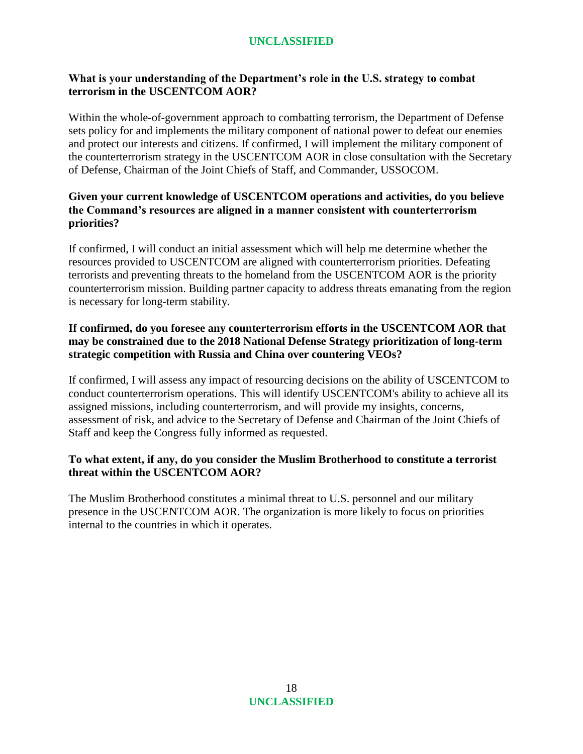# **What is your understanding of the Department's role in the U.S. strategy to combat terrorism in the USCENTCOM AOR?**

Within the whole-of-government approach to combatting terrorism, the Department of Defense sets policy for and implements the military component of national power to defeat our enemies and protect our interests and citizens. If confirmed, I will implement the military component of the counterterrorism strategy in the USCENTCOM AOR in close consultation with the Secretary of Defense, Chairman of the Joint Chiefs of Staff, and Commander, USSOCOM.

## **Given your current knowledge of USCENTCOM operations and activities, do you believe the Command's resources are aligned in a manner consistent with counterterrorism priorities?**

If confirmed, I will conduct an initial assessment which will help me determine whether the resources provided to USCENTCOM are aligned with counterterrorism priorities. Defeating terrorists and preventing threats to the homeland from the USCENTCOM AOR is the priority counterterrorism mission. Building partner capacity to address threats emanating from the region is necessary for long-term stability.

## **If confirmed, do you foresee any counterterrorism efforts in the USCENTCOM AOR that may be constrained due to the 2018 National Defense Strategy prioritization of long-term strategic competition with Russia and China over countering VEOs?**

If confirmed, I will assess any impact of resourcing decisions on the ability of USCENTCOM to conduct counterterrorism operations. This will identify USCENTCOM's ability to achieve all its assigned missions, including counterterrorism, and will provide my insights, concerns, assessment of risk, and advice to the Secretary of Defense and Chairman of the Joint Chiefs of Staff and keep the Congress fully informed as requested.

### **To what extent, if any, do you consider the Muslim Brotherhood to constitute a terrorist threat within the USCENTCOM AOR?**

The Muslim Brotherhood constitutes a minimal threat to U.S. personnel and our military presence in the USCENTCOM AOR. The organization is more likely to focus on priorities internal to the countries in which it operates.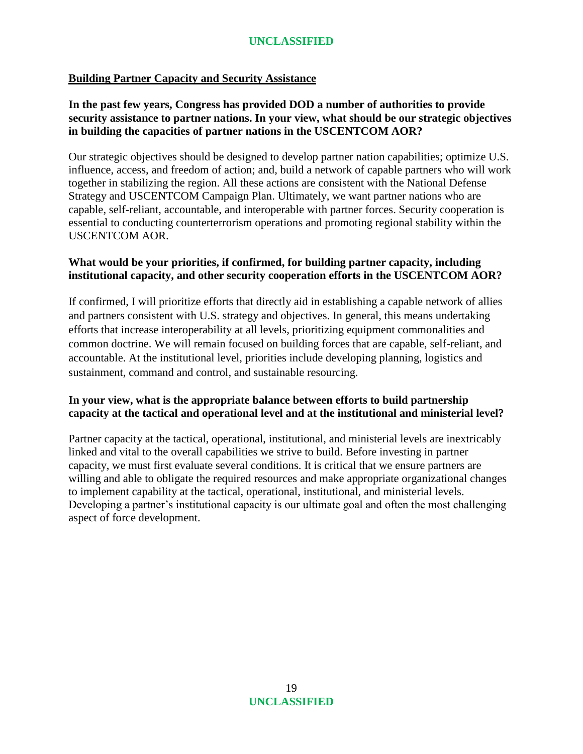### **Building Partner Capacity and Security Assistance**

## **In the past few years, Congress has provided DOD a number of authorities to provide security assistance to partner nations. In your view, what should be our strategic objectives in building the capacities of partner nations in the USCENTCOM AOR?**

Our strategic objectives should be designed to develop partner nation capabilities; optimize U.S. influence, access, and freedom of action; and, build a network of capable partners who will work together in stabilizing the region. All these actions are consistent with the National Defense Strategy and USCENTCOM Campaign Plan. Ultimately, we want partner nations who are capable, self-reliant, accountable, and interoperable with partner forces. Security cooperation is essential to conducting counterterrorism operations and promoting regional stability within the USCENTCOM AOR.

### **What would be your priorities, if confirmed, for building partner capacity, including institutional capacity, and other security cooperation efforts in the USCENTCOM AOR?**

If confirmed, I will prioritize efforts that directly aid in establishing a capable network of allies and partners consistent with U.S. strategy and objectives. In general, this means undertaking efforts that increase interoperability at all levels, prioritizing equipment commonalities and common doctrine. We will remain focused on building forces that are capable, self-reliant, and accountable. At the institutional level, priorities include developing planning, logistics and sustainment, command and control, and sustainable resourcing.

## **In your view, what is the appropriate balance between efforts to build partnership capacity at the tactical and operational level and at the institutional and ministerial level?**

Partner capacity at the tactical, operational, institutional, and ministerial levels are inextricably linked and vital to the overall capabilities we strive to build. Before investing in partner capacity, we must first evaluate several conditions. It is critical that we ensure partners are willing and able to obligate the required resources and make appropriate organizational changes to implement capability at the tactical, operational, institutional, and ministerial levels. Developing a partner's institutional capacity is our ultimate goal and often the most challenging aspect of force development.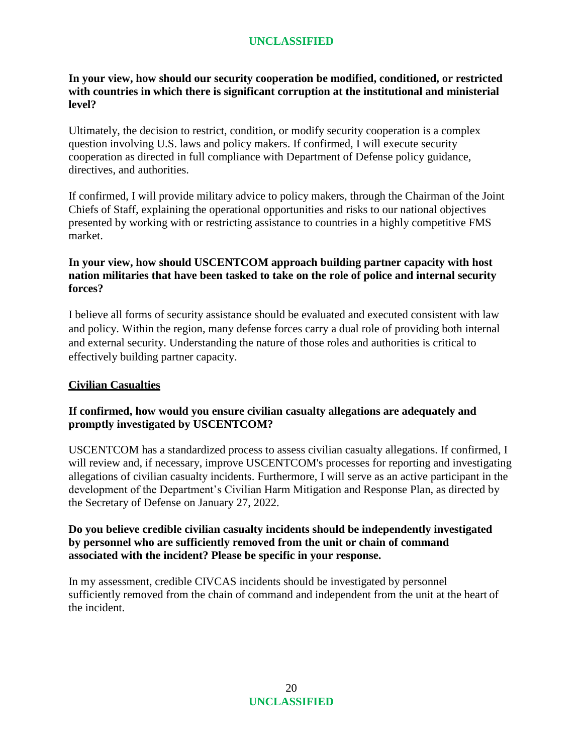**In your view, how should our security cooperation be modified, conditioned, or restricted with countries in which there is significant corruption at the institutional and ministerial level?**

Ultimately, the decision to restrict, condition, or modify security cooperation is a complex question involving U.S. laws and policy makers. If confirmed, I will execute security cooperation as directed in full compliance with Department of Defense policy guidance, directives, and authorities.

If confirmed, I will provide military advice to policy makers, through the Chairman of the Joint Chiefs of Staff, explaining the operational opportunities and risks to our national objectives presented by working with or restricting assistance to countries in a highly competitive FMS market.

### **In your view, how should USCENTCOM approach building partner capacity with host nation militaries that have been tasked to take on the role of police and internal security forces?**

I believe all forms of security assistance should be evaluated and executed consistent with law and policy. Within the region, many defense forces carry a dual role of providing both internal and external security. Understanding the nature of those roles and authorities is critical to effectively building partner capacity.

## **Civilian Casualties**

## **If confirmed, how would you ensure civilian casualty allegations are adequately and promptly investigated by USCENTCOM?**

USCENTCOM has a standardized process to assess civilian casualty allegations. If confirmed, I will review and, if necessary, improve USCENTCOM's processes for reporting and investigating allegations of civilian casualty incidents. Furthermore, I will serve as an active participant in the development of the Department's Civilian Harm Mitigation and Response Plan, as directed by the Secretary of Defense on January 27, 2022.

#### **Do you believe credible civilian casualty incidents should be independently investigated by personnel who are sufficiently removed from the unit or chain of command associated with the incident? Please be specific in your response.**

In my assessment, credible CIVCAS incidents should be investigated by personnel sufficiently removed from the chain of command and independent from the unit at the heart of the incident.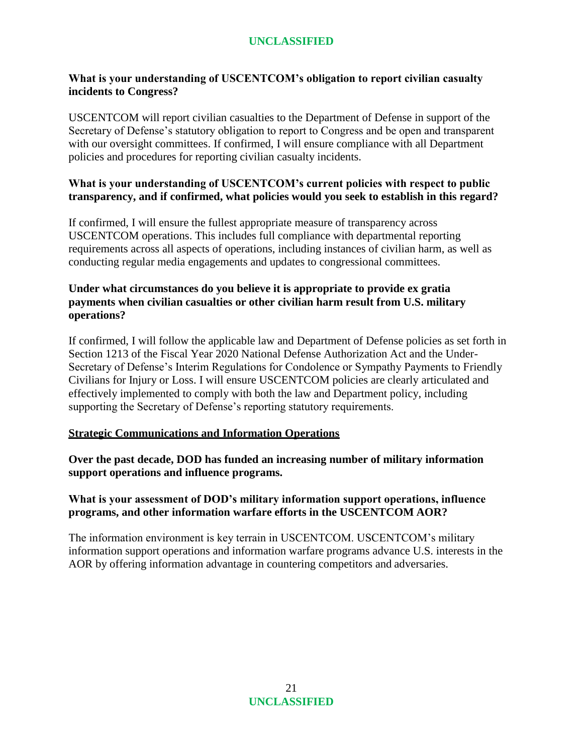# **What is your understanding of USCENTCOM's obligation to report civilian casualty incidents to Congress?**

USCENTCOM will report civilian casualties to the Department of Defense in support of the Secretary of Defense's statutory obligation to report to Congress and be open and transparent with our oversight committees. If confirmed, I will ensure compliance with all Department policies and procedures for reporting civilian casualty incidents.

## **What is your understanding of USCENTCOM's current policies with respect to public transparency, and if confirmed, what policies would you seek to establish in this regard?**

If confirmed, I will ensure the fullest appropriate measure of transparency across USCENTCOM operations. This includes full compliance with departmental reporting requirements across all aspects of operations, including instances of civilian harm, as well as conducting regular media engagements and updates to congressional committees.

### **Under what circumstances do you believe it is appropriate to provide ex gratia payments when civilian casualties or other civilian harm result from U.S. military operations?**

If confirmed, I will follow the applicable law and Department of Defense policies as set forth in Section 1213 of the Fiscal Year 2020 National Defense Authorization Act and the Under-Secretary of Defense's Interim Regulations for Condolence or Sympathy Payments to Friendly Civilians for Injury or Loss. I will ensure USCENTCOM policies are clearly articulated and effectively implemented to comply with both the law and Department policy, including supporting the Secretary of Defense's reporting statutory requirements.

## **Strategic Communications and Information Operations**

**Over the past decade, DOD has funded an increasing number of military information support operations and influence programs.**

## **What is your assessment of DOD's military information support operations, influence programs, and other information warfare efforts in the USCENTCOM AOR?**

The information environment is key terrain in USCENTCOM. USCENTCOM's military information support operations and information warfare programs advance U.S. interests in the AOR by offering information advantage in countering competitors and adversaries.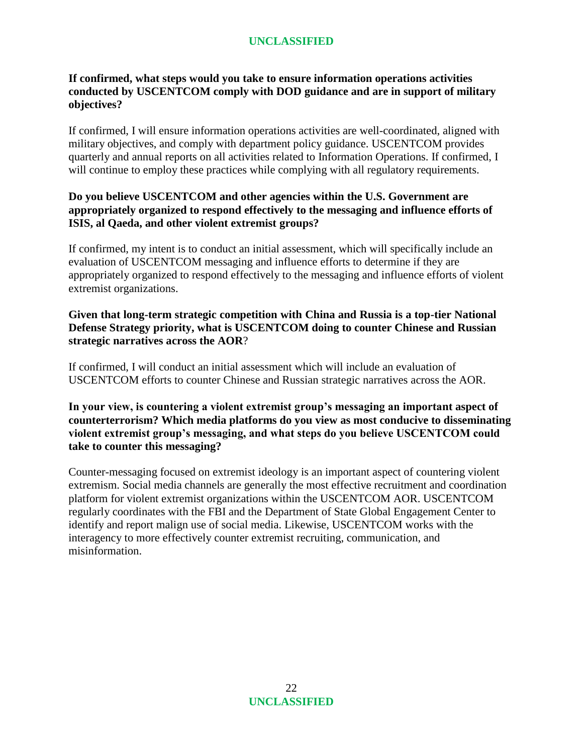# **If confirmed, what steps would you take to ensure information operations activities conducted by USCENTCOM comply with DOD guidance and are in support of military objectives?**

If confirmed, I will ensure information operations activities are well-coordinated, aligned with military objectives, and comply with department policy guidance. USCENTCOM provides quarterly and annual reports on all activities related to Information Operations. If confirmed, I will continue to employ these practices while complying with all regulatory requirements.

## **Do you believe USCENTCOM and other agencies within the U.S. Government are appropriately organized to respond effectively to the messaging and influence efforts of ISIS, al Qaeda, and other violent extremist groups?**

If confirmed, my intent is to conduct an initial assessment, which will specifically include an evaluation of USCENTCOM messaging and influence efforts to determine if they are appropriately organized to respond effectively to the messaging and influence efforts of violent extremist organizations.

## **Given that long-term strategic competition with China and Russia is a top-tier National Defense Strategy priority, what is USCENTCOM doing to counter Chinese and Russian strategic narratives across the AOR**?

If confirmed, I will conduct an initial assessment which will include an evaluation of USCENTCOM efforts to counter Chinese and Russian strategic narratives across the AOR.

**In your view, is countering a violent extremist group's messaging an important aspect of counterterrorism? Which media platforms do you view as most conducive to disseminating violent extremist group's messaging, and what steps do you believe USCENTCOM could take to counter this messaging?**

Counter-messaging focused on extremist ideology is an important aspect of countering violent extremism. Social media channels are generally the most effective recruitment and coordination platform for violent extremist organizations within the USCENTCOM AOR. USCENTCOM regularly coordinates with the FBI and the Department of State Global Engagement Center to identify and report malign use of social media. Likewise, USCENTCOM works with the interagency to more effectively counter extremist recruiting, communication, and misinformation.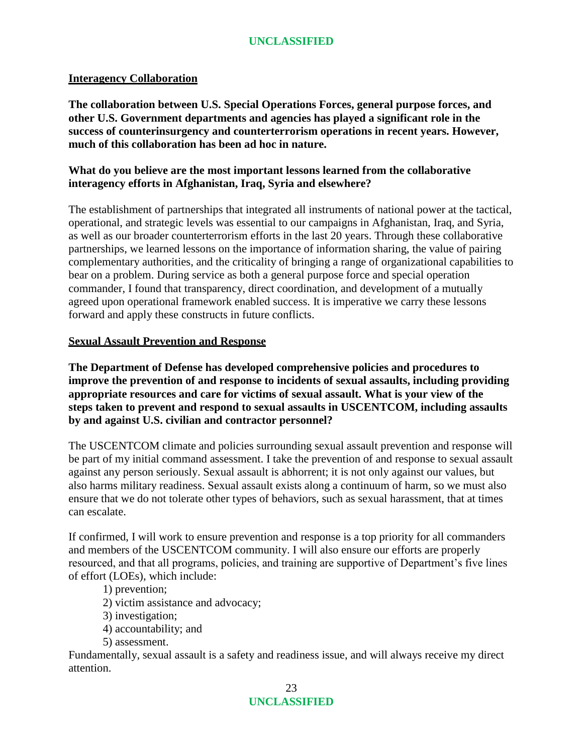#### **Interagency Collaboration**

**The collaboration between U.S. Special Operations Forces, general purpose forces, and other U.S. Government departments and agencies has played a significant role in the success of counterinsurgency and counterterrorism operations in recent years. However, much of this collaboration has been ad hoc in nature.**

### **What do you believe are the most important lessons learned from the collaborative interagency efforts in Afghanistan, Iraq, Syria and elsewhere?**

The establishment of partnerships that integrated all instruments of national power at the tactical, operational, and strategic levels was essential to our campaigns in Afghanistan, Iraq, and Syria, as well as our broader counterterrorism efforts in the last 20 years. Through these collaborative partnerships, we learned lessons on the importance of information sharing, the value of pairing complementary authorities, and the criticality of bringing a range of organizational capabilities to bear on a problem. During service as both a general purpose force and special operation commander, I found that transparency, direct coordination, and development of a mutually agreed upon operational framework enabled success. It is imperative we carry these lessons forward and apply these constructs in future conflicts.

### **Sexual Assault Prevention and Response**

**The Department of Defense has developed comprehensive policies and procedures to improve the prevention of and response to incidents of sexual assaults, including providing appropriate resources and care for victims of sexual assault. What is your view of the steps taken to prevent and respond to sexual assaults in USCENTCOM, including assaults by and against U.S. civilian and contractor personnel?**

The USCENTCOM climate and policies surrounding sexual assault prevention and response will be part of my initial command assessment. I take the prevention of and response to sexual assault against any person seriously. Sexual assault is abhorrent; it is not only against our values, but also harms military readiness. Sexual assault exists along a continuum of harm, so we must also ensure that we do not tolerate other types of behaviors, such as sexual harassment, that at times can escalate.

If confirmed, I will work to ensure prevention and response is a top priority for all commanders and members of the USCENTCOM community. I will also ensure our efforts are properly resourced, and that all programs, policies, and training are supportive of Department's five lines of effort (LOEs), which include:

#### 1) prevention;

- 2) victim assistance and advocacy;
- 3) investigation;
- 4) accountability; and
- 5) assessment.

Fundamentally, sexual assault is a safety and readiness issue, and will always receive my direct attention.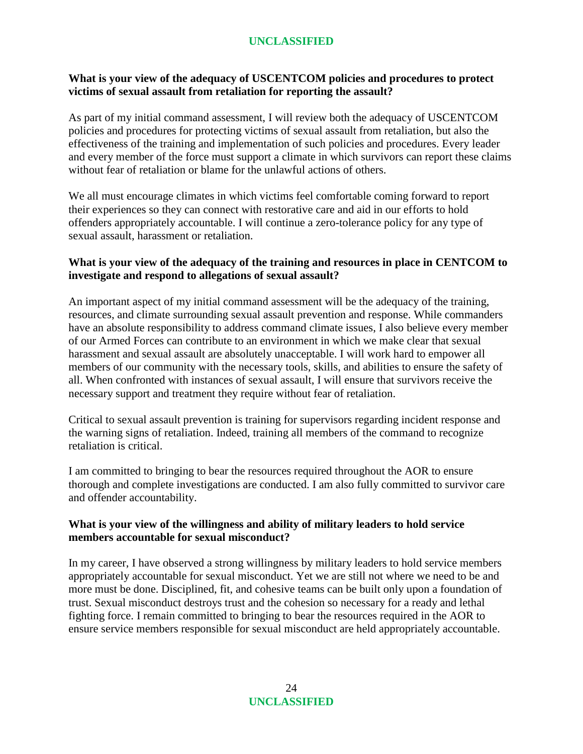# **What is your view of the adequacy of USCENTCOM policies and procedures to protect victims of sexual assault from retaliation for reporting the assault?**

As part of my initial command assessment, I will review both the adequacy of USCENTCOM policies and procedures for protecting victims of sexual assault from retaliation, but also the effectiveness of the training and implementation of such policies and procedures. Every leader and every member of the force must support a climate in which survivors can report these claims without fear of retaliation or blame for the unlawful actions of others.

We all must encourage climates in which victims feel comfortable coming forward to report their experiences so they can connect with restorative care and aid in our efforts to hold offenders appropriately accountable. I will continue a zero-tolerance policy for any type of sexual assault, harassment or retaliation.

### **What is your view of the adequacy of the training and resources in place in CENTCOM to investigate and respond to allegations of sexual assault?**

An important aspect of my initial command assessment will be the adequacy of the training, resources, and climate surrounding sexual assault prevention and response. While commanders have an absolute responsibility to address command climate issues, I also believe every member of our Armed Forces can contribute to an environment in which we make clear that sexual harassment and sexual assault are absolutely unacceptable. I will work hard to empower all members of our community with the necessary tools, skills, and abilities to ensure the safety of all. When confronted with instances of sexual assault, I will ensure that survivors receive the necessary support and treatment they require without fear of retaliation.

Critical to sexual assault prevention is training for supervisors regarding incident response and the warning signs of retaliation. Indeed, training all members of the command to recognize retaliation is critical.

I am committed to bringing to bear the resources required throughout the AOR to ensure thorough and complete investigations are conducted. I am also fully committed to survivor care and offender accountability.

### **What is your view of the willingness and ability of military leaders to hold service members accountable for sexual misconduct?**

In my career, I have observed a strong willingness by military leaders to hold service members appropriately accountable for sexual misconduct. Yet we are still not where we need to be and more must be done. Disciplined, fit, and cohesive teams can be built only upon a foundation of trust. Sexual misconduct destroys trust and the cohesion so necessary for a ready and lethal fighting force. I remain committed to bringing to bear the resources required in the AOR to ensure service members responsible for sexual misconduct are held appropriately accountable.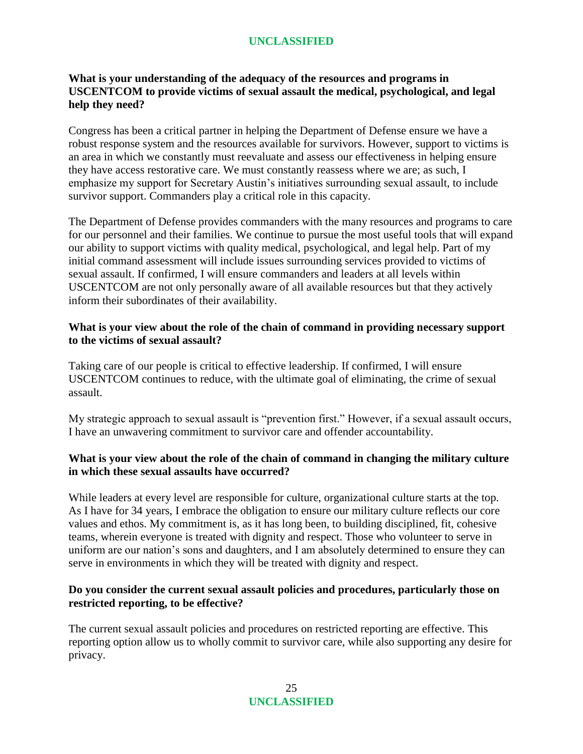# **What is your understanding of the adequacy of the resources and programs in USCENTCOM to provide victims of sexual assault the medical, psychological, and legal help they need?**

Congress has been a critical partner in helping the Department of Defense ensure we have a robust response system and the resources available for survivors. However, support to victims is an area in which we constantly must reevaluate and assess our effectiveness in helping ensure they have access restorative care. We must constantly reassess where we are; as such, I emphasize my support for Secretary Austin's initiatives surrounding sexual assault, to include survivor support. Commanders play a critical role in this capacity.

The Department of Defense provides commanders with the many resources and programs to care for our personnel and their families. We continue to pursue the most useful tools that will expand our ability to support victims with quality medical, psychological, and legal help. Part of my initial command assessment will include issues surrounding services provided to victims of sexual assault. If confirmed, I will ensure commanders and leaders at all levels within USCENTCOM are not only personally aware of all available resources but that they actively inform their subordinates of their availability.

## **What is your view about the role of the chain of command in providing necessary support to the victims of sexual assault?**

Taking care of our people is critical to effective leadership. If confirmed, I will ensure USCENTCOM continues to reduce, with the ultimate goal of eliminating, the crime of sexual assault.

My strategic approach to sexual assault is "prevention first." However, if a sexual assault occurs, I have an unwavering commitment to survivor care and offender accountability.

## **What is your view about the role of the chain of command in changing the military culture in which these sexual assaults have occurred?**

While leaders at every level are responsible for culture, organizational culture starts at the top. As I have for 34 years, I embrace the obligation to ensure our military culture reflects our core values and ethos. My commitment is, as it has long been, to building disciplined, fit, cohesive teams, wherein everyone is treated with dignity and respect. Those who volunteer to serve in uniform are our nation's sons and daughters, and I am absolutely determined to ensure they can serve in environments in which they will be treated with dignity and respect.

## **Do you consider the current sexual assault policies and procedures, particularly those on restricted reporting, to be effective?**

The current sexual assault policies and procedures on restricted reporting are effective. This reporting option allow us to wholly commit to survivor care, while also supporting any desire for privacy.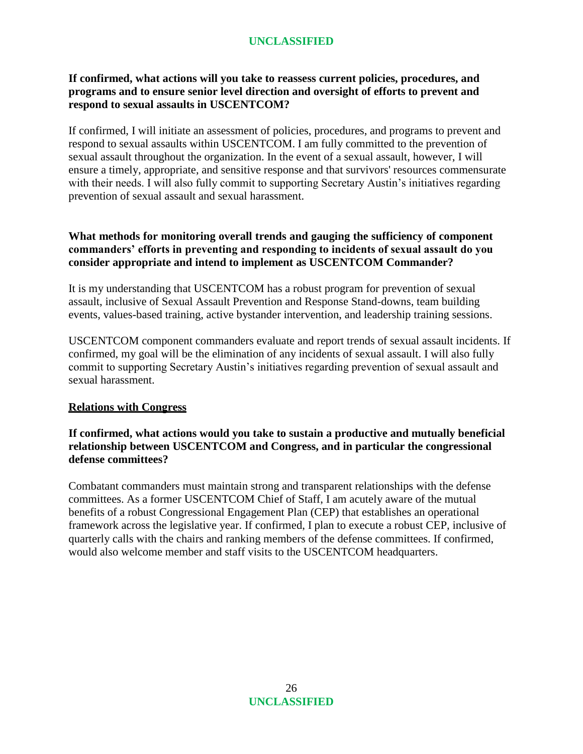## **If confirmed, what actions will you take to reassess current policies, procedures, and programs and to ensure senior level direction and oversight of efforts to prevent and respond to sexual assaults in USCENTCOM?**

If confirmed, I will initiate an assessment of policies, procedures, and programs to prevent and respond to sexual assaults within USCENTCOM. I am fully committed to the prevention of sexual assault throughout the organization. In the event of a sexual assault, however, I will ensure a timely, appropriate, and sensitive response and that survivors' resources commensurate with their needs. I will also fully commit to supporting Secretary Austin's initiatives regarding prevention of sexual assault and sexual harassment.

## **What methods for monitoring overall trends and gauging the sufficiency of component commanders' efforts in preventing and responding to incidents of sexual assault do you consider appropriate and intend to implement as USCENTCOM Commander?**

It is my understanding that USCENTCOM has a robust program for prevention of sexual assault, inclusive of Sexual Assault Prevention and Response Stand-downs, team building events, values-based training, active bystander intervention, and leadership training sessions.

USCENTCOM component commanders evaluate and report trends of sexual assault incidents. If confirmed, my goal will be the elimination of any incidents of sexual assault. I will also fully commit to supporting Secretary Austin's initiatives regarding prevention of sexual assault and sexual harassment.

## **Relations with Congress**

## **If confirmed, what actions would you take to sustain a productive and mutually beneficial relationship between USCENTCOM and Congress, and in particular the congressional defense committees?**

Combatant commanders must maintain strong and transparent relationships with the defense committees. As a former USCENTCOM Chief of Staff, I am acutely aware of the mutual benefits of a robust Congressional Engagement Plan (CEP) that establishes an operational framework across the legislative year. If confirmed, I plan to execute a robust CEP, inclusive of quarterly calls with the chairs and ranking members of the defense committees. If confirmed, would also welcome member and staff visits to the USCENTCOM headquarters.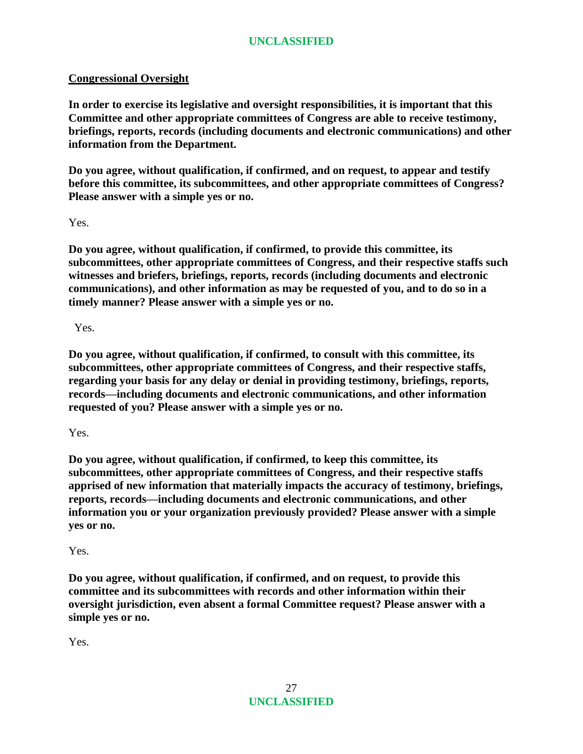## **Congressional Oversight**

**In order to exercise its legislative and oversight responsibilities, it is important that this Committee and other appropriate committees of Congress are able to receive testimony, briefings, reports, records (including documents and electronic communications) and other information from the Department.**

**Do you agree, without qualification, if confirmed, and on request, to appear and testify before this committee, its subcommittees, and other appropriate committees of Congress? Please answer with a simple yes or no.**

Yes.

**Do you agree, without qualification, if confirmed, to provide this committee, its subcommittees, other appropriate committees of Congress, and their respective staffs such witnesses and briefers, briefings, reports, records (including documents and electronic communications), and other information as may be requested of you, and to do so in a timely manner? Please answer with a simple yes or no.**

Yes.

**Do you agree, without qualification, if confirmed, to consult with this committee, its subcommittees, other appropriate committees of Congress, and their respective staffs, regarding your basis for any delay or denial in providing testimony, briefings, reports, records—including documents and electronic communications, and other information requested of you? Please answer with a simple yes or no.**

Yes.

**Do you agree, without qualification, if confirmed, to keep this committee, its subcommittees, other appropriate committees of Congress, and their respective staffs apprised of new information that materially impacts the accuracy of testimony, briefings, reports, records—including documents and electronic communications, and other information you or your organization previously provided? Please answer with a simple yes or no.**

Yes.

**Do you agree, without qualification, if confirmed, and on request, to provide this committee and its subcommittees with records and other information within their oversight jurisdiction, even absent a formal Committee request? Please answer with a simple yes or no.**

Yes.